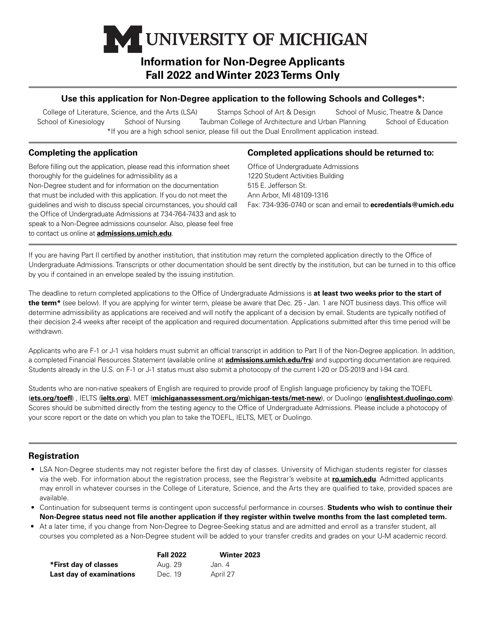# UNIVERSITY OF MICHIGAN

## **Information for Non-Degree Applicants Fall 2022 and Winter 2023 Terms Only**

## **Use this application for Non-Degree application to the following Schools and Colleges\*:**

College of Literature, Science, and the Arts (LSA) Stamps School of Art & Design School of Music, Theatre & Dance School of Kinesiology School of Nursing Taubman College of Architecture and Urban Planning School of Education \*If you are a high school senior, please fill out the Dual Enrollment application instead.

## **Completing the application**

Before filling out the application, please read this information sheet thoroughly for the guidelines for admissibility as a Non-Degree student and for information on the documentation that must be included with this application. If you do not meet the guidelines and wish to discuss special circumstances, you should call the Office of Undergraduate Admissions at 734-764-7433 and ask to speak to a Non-Degree admissions counselor. Also, please feel free to contact us online at **[admissions.umich.edu](http://admissions.umich.edu)**.

### **Completed applications should be returned to:**

Office of Undergraduate Admissions 1220 Student Activities Building 515 E. Jefferson St. Ann Arbor, MI 48109-1316 Fax: 734-936-0740 or scan and email to **[ecredentials@umich.edu](mailto:ecredentials@umich.edu)**

If you are having Part II certified by another institution, that institution may return the completed application directly to the Office of Undergraduate Admissions. Transcripts or other documentation should be sent directly by the institution, but can be turned in to this office by you if contained in an envelope sealed by the issuing institution.

The deadline to return completed applications to the Office of Undergraduate Admissions is **at least two weeks prior to the start of the term\*** (see below). If you are applying for winter term, please be aware that Dec. 25 - Jan. 1 are NOT business days. This office will determine admissibility as applications are received and will notify the applicant of a decision by email. Students are typically notified of their decision 2-4 weeks after receipt of the application and required documentation. Applications submitted after this time period will be withdrawn.

Applicants who are F-1 or J-1 visa holders must submit an official transcript in addition to Part II of the Non-Degree application. In addition, a completed Financial Resources Statement (available online at **[admissions.umich.edu/frs](http://admissions.umich.edu/frs)**) and supporting documentation are required. Students already in the U.S. on F-1 or J-1 status must also submit a photocopy of the current I-20 or DS-2019 and I-94 card.

Students who are non-native speakers of English are required to provide proof of English language proficiency by taking the TOEFL (**[ets.org/toefl](http://ets.org/toefl)**) , IELTS (**[ielts.org](http://ielts.org)**), MET (**[michiganassessment.org/michigan-tests/met-new](http://michiganassessment.org/michigan-tests/met-new)**), or Duolingo (**[englishtest.duolingo.com](http://englishtest.duolingo.com)**). Scores should be submitted directly from the testing agency to the Office of Undergraduate Admissions. Please include a photocopy of your score report or the date on which you plan to take the TOEFL, IELTS, MET, or Duolingo.

## **Registration**

- LSA Non-Degree students may not register before the first day of classes. University of Michigan students register for classes via the web. For information about the registration process, see the Registrar's website at **[ro.umich.edu](http://ro.umich.edu)**. Admitted applicants may enroll in whatever courses in the College of Literature, Science, and the Arts they are qualified to take, provided spaces are available.
- Continuation for subsequent terms is contingent upon successful performance in courses. **Students who wish to continue their Non-Degree status need not file another application if they register within twelve months from the last completed term.**
- At a later time, if you change from Non-Degree to Degree-Seeking status and are admitted and enroll as a transfer student, all courses you completed as a Non-Degree student will be added to your transfer credits and grades on your U-M academic record.

|                          | <b>Fall 2022</b> | Winter 2023 |
|--------------------------|------------------|-------------|
| *First day of classes    | Aug. 29          | Jan. 4      |
| Last day of examinations | Dec. 19          | April 27    |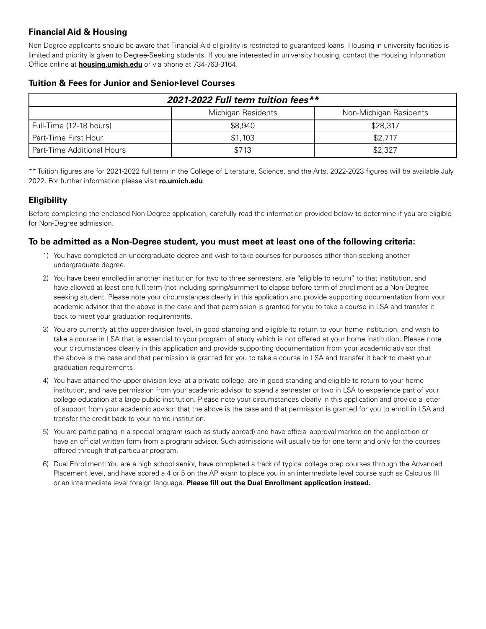## **Financial Aid & Housing**

Non-Degree applicants should be aware that Financial Aid eligibility is restricted to guaranteed loans. Housing in university facilities is limited and priority is given to Degree-Seeking students. If you are interested in university housing, contact the Housing Information Office online at **[housing.umich.edu](http://housing.umich.edu)** or via phone at 734-763-3164.

| 2021-2022 Full term tuition fees**           |         |          |  |
|----------------------------------------------|---------|----------|--|
| Michigan Residents<br>Non-Michigan Residents |         |          |  |
| Full-Time (12-18 hours)                      | \$8,940 | \$28,317 |  |
| Part-Time First Hour                         | \$1,103 | \$2,717  |  |
| <b>Part-Time Additional Hours</b>            | \$713   | \$2,327  |  |

#### **Tuition & Fees for Junior and Senior-level Courses**

\*\* Tuition figures are for 2021-2022 full term in the College of Literature, Science, and the Arts. 2022-2023 figures will be available July 2022. For further information please visit **[ro.umich.edu](http://ro.umich.edu)**.

## **Eligibility**

Before completing the enclosed Non-Degree application, carefully read the information provided below to determine if you are eligible for Non-Degree admission.

## **To be admitted as a Non-Degree student, you must meet at least one of the following criteria:**

- 1) You have completed an undergraduate degree and wish to take courses for purposes other than seeking another undergraduate degree.
- 2) You have been enrolled in another institution for two to three semesters, are "eligible to return" to that institution, and have allowed at least one full term (not including spring/summer) to elapse before term of enrollment as a Non-Degree seeking student. Please note your circumstances clearly in this application and provide supporting documentation from your academic advisor that the above is the case and that permission is granted for you to take a course in LSA and transfer it back to meet your graduation requirements.
- 3) You are currently at the upper-division level, in good standing and eligible to return to your home institution, and wish to take a course in LSA that is essential to your program of study which is not offered at your home institution. Please note your circumstances clearly in this application and provide supporting documentation from your academic advisor that the above is the case and that permission is granted for you to take a course in LSA and transfer it back to meet your graduation requirements.
- 4) You have attained the upper-division level at a private college, are in good standing and eligible to return to your home institution, and have permission from your academic advisor to spend a semester or two in LSA to experience part of your college education at a large public institution. Please note your circumstances clearly in this application and provide a letter of support from your academic advisor that the above is the case and that permission is granted for you to enroll in LSA and transfer the credit back to your home institution.
- 5) You are participating in a special program (such as study abroad) and have official approval marked on the application or have an official written form from a program advisor. Such admissions will usually be for one term and only for the courses offered through that particular program.
- 6) Dual Enrollment: You are a high school senior, have completed a track of typical college prep courses through the Advanced Placement level, and have scored a 4 or 5 on the AP exam to place you in an intermediate level course such as Calculus III or an intermediate level foreign language. **Please fill out the Dual Enrollment application instead.**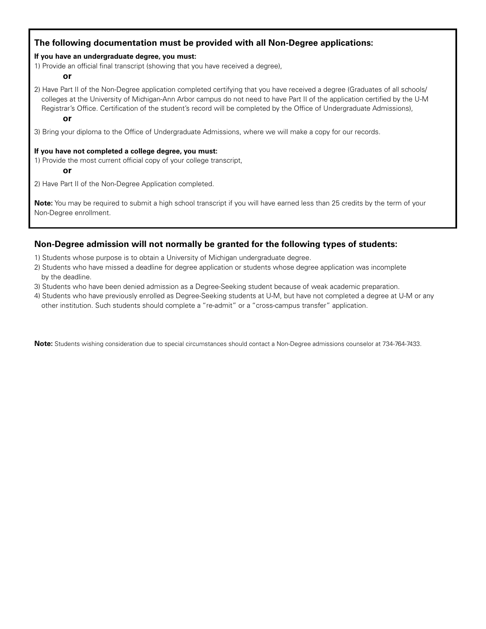## **The following documentation must be provided with all Non-Degree applications:**

#### **If you have an undergraduate degree, you must:**

1) Provide an official final transcript (showing that you have received a degree),

#### **or**

2) Have Part II of the Non-Degree application completed certifying that you have received a degree (Graduates of all schools/ colleges at the University of Michigan-Ann Arbor campus do not need to have Part II of the application certified by the U-M Registrar's Office. Certification of the student's record will be completed by the Office of Undergraduate Admissions), **or**

3) Bring your diploma to the Office of Undergraduate Admissions, where we will make a copy for our records.

#### **If you have not completed a college degree, you must:**

1) Provide the most current official copy of your college transcript,

**or**

2) Have Part II of the Non-Degree Application completed.

**Note:** You may be required to submit a high school transcript if you will have earned less than 25 credits by the term of your Non-Degree enrollment.

## **Non-Degree admission will not normally be granted for the following types of students:**

- 1) Students whose purpose is to obtain a University of Michigan undergraduate degree.
- 2) Students who have missed a deadline for degree application or students whose degree application was incomplete by the deadline.
- 3) Students who have been denied admission as a Degree-Seeking student because of weak academic preparation.
- 4) Students who have previously enrolled as Degree-Seeking students at U-M, but have not completed a degree at U-M or any other institution. Such students should complete a "re-admit" or a "cross-campus transfer" application.

**Note:** Students wishing consideration due to special circumstances should contact a Non-Degree admissions counselor at 734-764-7433.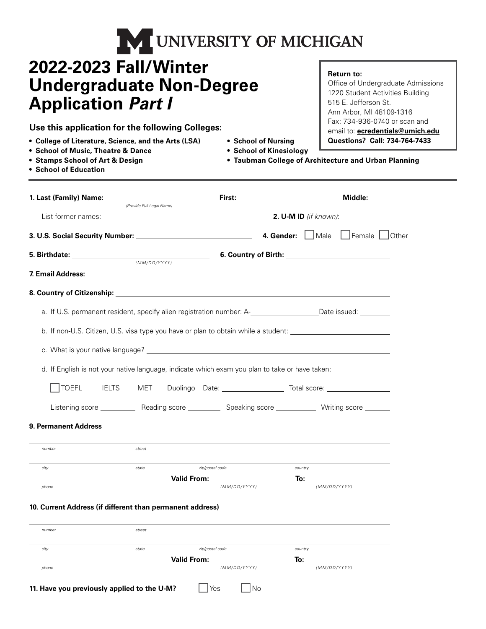| <b>NEUNIVERSITY OF MICHIGAN</b> |  |
|---------------------------------|--|
|---------------------------------|--|

## **2022-2023 Fall/Winter Undergraduate Non-Degree Application** *Part I*

**Use this application for the following Colleges:**

- **College of Literature, Science, and the Arts (LSA) School of Nursing**
- **School of Music, Theatre & Dance School of Kinesiology**
- **Stamps School of Art & Design**
- 
- 
- **Taubman College of Architecture and Urban Planning**

**Return to:**

515 E. Jefferson St. Ann Arbor, MI 48109-1316 Fax: 734-936-0740 or scan and email to: **[ecredentials@umich.edu](mailto:ecredentials@umich.edu) Questions? Call: 734-764-7433**

Office of Undergraduate Admissions 1220 Student Activities Building

**• School of Education**

|                                                                                                | (Provide Full Legal Name) |                    |     |                                                                                                                |  |
|------------------------------------------------------------------------------------------------|---------------------------|--------------------|-----|----------------------------------------------------------------------------------------------------------------|--|
|                                                                                                |                           |                    |     |                                                                                                                |  |
|                                                                                                |                           |                    |     |                                                                                                                |  |
|                                                                                                |                           |                    |     | 6. Country of Birth: <u>Country of Birth:</u>                                                                  |  |
|                                                                                                | (MM/DD/YYYY)              |                    |     |                                                                                                                |  |
|                                                                                                |                           |                    |     |                                                                                                                |  |
|                                                                                                |                           |                    |     | a. If U.S. permanent resident, specify alien registration number: A-___________________Date issued: _________  |  |
|                                                                                                |                           |                    |     |                                                                                                                |  |
|                                                                                                |                           |                    |     | b. If non-U.S. Citizen, U.S. visa type you have or plan to obtain while a student: ___________________________ |  |
|                                                                                                |                           |                    |     |                                                                                                                |  |
| d. If English is not your native language, indicate which exam you plan to take or have taken: |                           |                    |     |                                                                                                                |  |
|                                                                                                |                           |                    |     | TOEFL   IELTS   MET   Duolingo Date: ______________________ Total score: _______________                       |  |
|                                                                                                |                           |                    |     |                                                                                                                |  |
|                                                                                                |                           |                    |     | Listening score _____________ Reading score _____________ Speaking score ____________ Writing score _______    |  |
| 9. Permanent Address                                                                           |                           |                    |     |                                                                                                                |  |
| number                                                                                         | street                    |                    |     | <u> 1989 - Johann Stoff, amerikansk politiker (* 1908)</u>                                                     |  |
| city                                                                                           | state                     | zip/postal code    |     | country                                                                                                        |  |
|                                                                                                |                           | (MM/DD/YYYY)       |     | (MM/DD/YYYY)                                                                                                   |  |
| phone                                                                                          |                           |                    |     |                                                                                                                |  |
| 10. Current Address (if different than permanent address)                                      |                           |                    |     |                                                                                                                |  |
| number                                                                                         | street                    |                    |     |                                                                                                                |  |
| city                                                                                           | state                     | zip/postal code    |     | country                                                                                                        |  |
|                                                                                                |                           | <b>Valid From:</b> | To: |                                                                                                                |  |
| phone                                                                                          |                           | (MM/DD/YYYY)       |     | (MM/DD/YYYY)                                                                                                   |  |
| 11. Have you previously applied to the U-M?                                                    |                           | Yes                | No  |                                                                                                                |  |
|                                                                                                |                           |                    |     |                                                                                                                |  |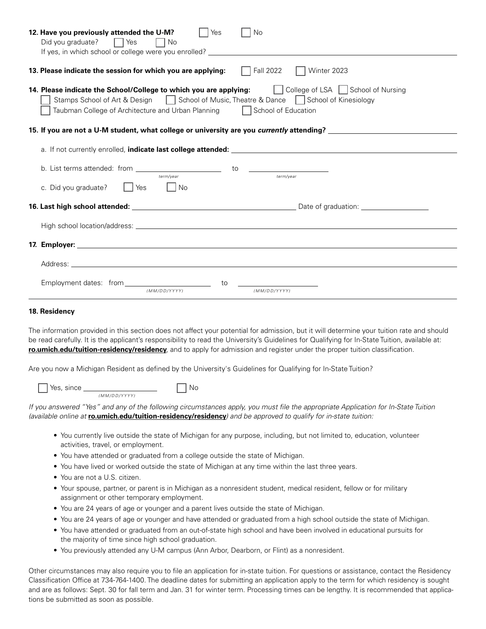| 12. Have you previously attended the U-M?<br>Yes<br><b>No</b><br>Did you graduate? $\Box$ Yes<br>l INo                                                                                                                                                                          |  |  |  |  |
|---------------------------------------------------------------------------------------------------------------------------------------------------------------------------------------------------------------------------------------------------------------------------------|--|--|--|--|
| $\Box$ Fall 2022<br>13. Please indicate the session for which you are applying:<br>Winter 2023                                                                                                                                                                                  |  |  |  |  |
| 14. Please indicate the School/College to which you are applying:<br>T College of LSA School of Nursing<br>Stamps School of Art & Design   School of Music, Theatre & Dance   School of Kinesiology<br>Taubman College of Architecture and Urban Planning □ School of Education |  |  |  |  |
| 15. If you are not a U-M student, what college or university are you currently attending? ____________________                                                                                                                                                                  |  |  |  |  |
|                                                                                                                                                                                                                                                                                 |  |  |  |  |
|                                                                                                                                                                                                                                                                                 |  |  |  |  |
| No<br>c. Did you graduate?<br>l IYes                                                                                                                                                                                                                                            |  |  |  |  |
|                                                                                                                                                                                                                                                                                 |  |  |  |  |
|                                                                                                                                                                                                                                                                                 |  |  |  |  |
|                                                                                                                                                                                                                                                                                 |  |  |  |  |
|                                                                                                                                                                                                                                                                                 |  |  |  |  |
| to<br>(MM/DD/YYYY)<br>(MM/DD/YYYY)                                                                                                                                                                                                                                              |  |  |  |  |
| 18. Residency                                                                                                                                                                                                                                                                   |  |  |  |  |

The information provided in this section does not affect your potential for admission, but it will determine your tuition rate and should be read carefully. It is the applicant's responsibility to read the University's Guidelines for Qualifying for In-State Tuition, available at: **[ro.umich.edu/tuition-residency/residency](http://ro.umich.edu/tuition-residency/residency)**, and to apply for admission and register under the proper tuition classification.

Are you now a Michigan Resident as defined by the University's Guidelines for Qualifying for In-State Tuition?

| Yes, since |              |  |
|------------|--------------|--|
|            | (MM/DD/YYYY) |  |

*If you answered "Yes" and any of the following circumstances apply, you must file the appropriate Application for In-State Tuition (available online at* **[ro.umich.edu/tuition-residency/residency](http://ro.umich.edu/tuition-residency/residency)***) and be approved to qualify for in-state tuition:*

- You currently live outside the state of Michigan for any purpose, including, but not limited to, education, volunteer activities, travel, or employment.
- You have attended or graduated from a college outside the state of Michigan.
- You have lived or worked outside the state of Michigan at any time within the last three years.
- You are not a U.S. citizen.
- Your spouse, partner, or parent is in Michigan as a nonresident student, medical resident, fellow or for military assignment or other temporary employment.
- You are 24 years of age or younger and a parent lives outside the state of Michigan.
- You are 24 years of age or younger and have attended or graduated from a high school outside the state of Michigan.
- You have attended or graduated from an out-of-state high school and have been involved in educational pursuits for the majority of time since high school graduation.
- You previously attended any U-M campus (Ann Arbor, Dearborn, or Flint) as a nonresident.

Other circumstances may also require you to file an application for in-state tuition. For questions or assistance, contact the Residency Classification Office at 734-764-1400. The deadline dates for submitting an application apply to the term for which residency is sought and are as follows: Sept. 30 for fall term and Jan. 31 for winter term. Processing times can be lengthy. It is recommended that applications be submitted as soon as possible.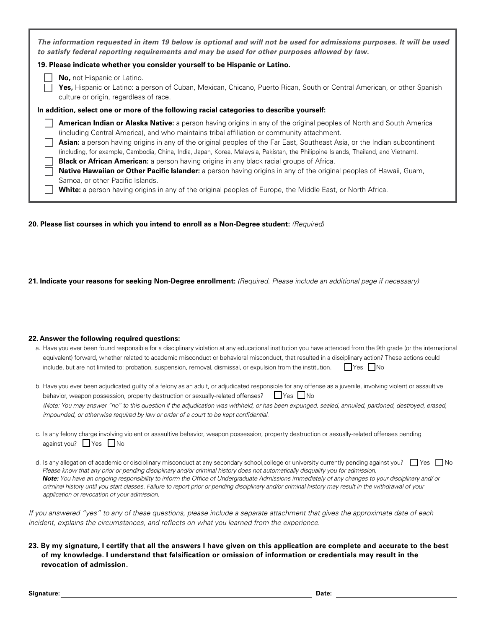| The information requested in item 19 below is optional and will not be used for admissions purposes. It will be used<br>to satisfy federal reporting requirements and may be used for other purposes allowed by law.                                                                                                                                                                                                                                                                                                                                                                                                                                                                                                                                                                                                                                                          |  |  |  |
|-------------------------------------------------------------------------------------------------------------------------------------------------------------------------------------------------------------------------------------------------------------------------------------------------------------------------------------------------------------------------------------------------------------------------------------------------------------------------------------------------------------------------------------------------------------------------------------------------------------------------------------------------------------------------------------------------------------------------------------------------------------------------------------------------------------------------------------------------------------------------------|--|--|--|
| 19. Please indicate whether you consider yourself to be Hispanic or Latino.                                                                                                                                                                                                                                                                                                                                                                                                                                                                                                                                                                                                                                                                                                                                                                                                   |  |  |  |
| No, not Hispanic or Latino.<br>Yes, Hispanic or Latino: a person of Cuban, Mexican, Chicano, Puerto Rican, South or Central American, or other Spanish<br>culture or origin, regardless of race.                                                                                                                                                                                                                                                                                                                                                                                                                                                                                                                                                                                                                                                                              |  |  |  |
| In addition, select one or more of the following racial categories to describe yourself:                                                                                                                                                                                                                                                                                                                                                                                                                                                                                                                                                                                                                                                                                                                                                                                      |  |  |  |
| <b>American Indian or Alaska Native:</b> a person having origins in any of the original peoples of North and South America<br>(including Central America), and who maintains tribal affiliation or community attachment.<br>Asian: a person having origins in any of the original peoples of the Far East, Southeast Asia, or the Indian subcontinent<br>(including, for example, Cambodia, China, India, Japan, Korea, Malaysia, Pakistan, the Philippine Islands, Thailand, and Vietnam).<br>Black or African American: a person having origins in any black racial groups of Africa.<br><b>Native Hawaiian or Other Pacific Islander:</b> a person having origins in any of the original peoples of Hawaii, Guam,<br>Samoa, or other Pacific Islands.<br><b>White:</b> a person having origins in any of the original peoples of Europe, the Middle East, or North Africa. |  |  |  |

**20. Please list courses in which you intend to enroll as a Non-Degree student:** *(Required)*

**21. Indicate your reasons for seeking Non-Degree enrollment:** *(Required. Please include an additional page if necessary)*

#### **22. Answer the following required questions:**

| a. Have you ever been found responsible for a disciplinary violation at any educational institution you have attended from the 9th grade (or the international |                      |
|----------------------------------------------------------------------------------------------------------------------------------------------------------------|----------------------|
| equivalent) forward, whether related to academic misconduct or behavioral misconduct, that resulted in a disciplinary action? These actions could              |                      |
| include, but are not limited to: probation, suspension, removal, dismissal, or expulsion from the institution.                                                 | $\Box$ Yes $\Box$ No |

| b. Have you ever been adjudicated quilty of a felony as an adult, or adjudicated responsible for any offense as a juvenile, involving violent or assaultive |
|-------------------------------------------------------------------------------------------------------------------------------------------------------------|
| behavior, weapon possession, property destruction or sexually-related offenses? $\Box$ Yes $\Box$ No                                                        |
| (Note: You may answer "no" to this question if the adjudication was withheld, or has been expunged, sealed, annulled, pardoned, destroyed, erased,          |
| impounded, or otherwise required by law or order of a court to be kept confidential.                                                                        |

- c. Is any felony charge involving violent or assaultive behavior, weapon possession, property destruction or sexually-related offenses pending against you? Yes No
- d. Is any allegation of academic or disciplinary misconduct at any secondary school,college or university currently pending against you?  $\Box$  Yes  $\Box$  No  *Please know that any prior or pending disciplinary and/or criminal history does not automatically disqualify you for admission. Note: You have an ongoing responsibility to inform the Office of Undergraduate Admissions immediately of any changes to your disciplinary and/ or criminal history until you start classes. Failure to report prior or pending disciplinary and/or criminal history may result in the withdrawal of your application or revocation of your admission.*

*If you answered "yes" to any of these questions, please include a separate attachment that gives the approximate date of each incident, explains the circumstances, and reflects on what you learned from the experience.*

#### **23. By my signature, I certify that all the answers I have given on this application are complete and accurate to the best of my knowledge. I understand that falsification or omission of information or credentials may result in the revocation of admission.**